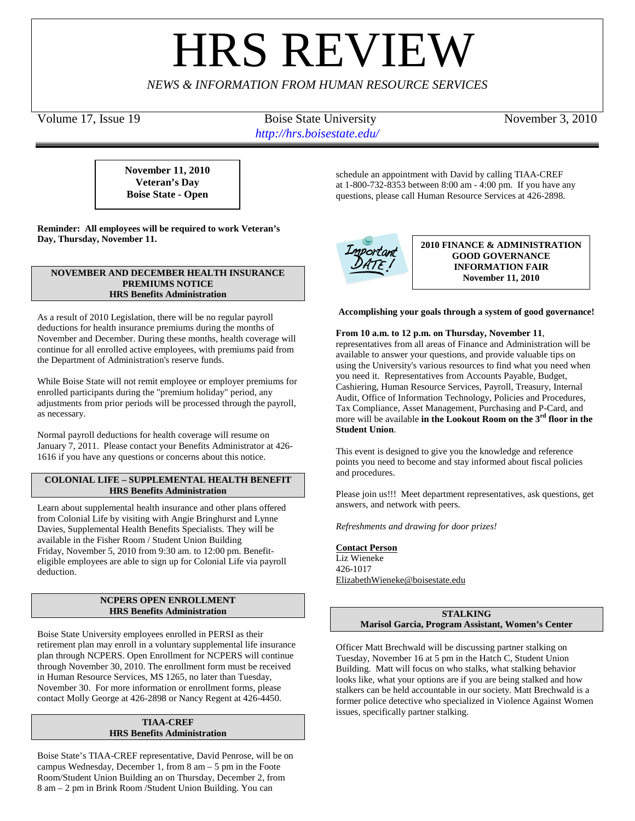# **HRS REVIE**

*NEWS & INFORMATION FROM HUMAN RESOURCE SERVICES*

Volume 17, Issue 19 Boise State University November 3, 2010 *http://hrs.boisestate.edu/*

**November 11, 2010 Veteran's Day Boise State - Open**

**Reminder: All employees will be required to work Veteran's Day, Thursday, November 11.**

## **NOVEMBER AND DECEMBER HEALTH INSURANCE PREMIUMS NOTICE HRS Benefits Administration**

As a result of 2010 Legislation, there will be no regular payroll deductions for health insurance premiums during the months of November and December. During these months, health coverage will continue for all enrolled active employees, with premiums paid from the Department of Administration's reserve funds.

While Boise State will not remit employee or employer premiums for enrolled participants during the "premium holiday" period, any adjustments from prior periods will be processed through the payroll, as necessary.

Normal payroll deductions for health coverage will resume on January 7, 2011. Please contact your Benefits Administrator at 426- 1616 if you have any questions or concerns about this notice.

# **COLONIAL LIFE – SUPPLEMENTAL HEALTH BENEFIT HRS Benefits Administration**

Learn about supplemental health insurance and other plans offered from Colonial Life by visiting with Angie Bringhurst and Lynne Davies, Supplemental Health Benefits Specialists. They will be available in the Fisher Room / Student Union Building Friday, November 5, 2010 from 9:30 am. to 12:00 pm. Benefiteligible employees are able to sign up for Colonial Life via payroll deduction.

# **NCPERS OPEN ENROLLMENT HRS Benefits Administration**

Boise State University employees enrolled in PERSI as their retirement plan may enroll in a voluntary supplemental life insurance plan through NCPERS. Open Enrollment for NCPERS will continue through November 30, 2010. The enrollment form must be received in Human Resource Services, MS 1265, no later than Tuesday, November 30. For more information or enrollment forms, please contact Molly George at 426-2898 or Nancy Regent at 426-4450.

# **TIAA-CREF HRS Benefits Administration**

Boise State's TIAA-CREF representative, David Penrose, will be on campus Wednesday, December 1, from 8 am – 5 pm in the Foote Room/Student Union Building an on Thursday, December 2, from 8 am – 2 pm in Brink Room /Student Union Building. You can

schedule an appointment with David by calling TIAA-CREF at 1-800-732-8353 between 8:00 am - 4:00 pm. If you have any questions, please call Human Resource Services at 426-2898.



**2010 FINANCE & ADMINISTRATION GOOD GOVERNANCE INFORMATION FAIR November 11, 2010**

# **Accomplishing your goals through a system of good governance!**

## **From 10 a.m. to 12 p.m. on Thursday, November 11**,

representatives from all areas of Finance and Administration will be available to answer your questions, and provide valuable tips on using the University's various resources to find what you need when you need it. Representatives from Accounts Payable, Budget, Cashiering, Human Resource Services, Payroll, Treasury, Internal Audit, Office of Information Technology, Policies and Procedures, Tax Compliance, Asset Management, Purchasing and P-Card, and more will be available **in the Lookout Room on the 3rd floor in the Student Union**.

This event is designed to give you the knowledge and reference points you need to become and stay informed about fiscal policies and procedures.

Please join us!!! Meet department representatives, ask questions, get answers, and network with peers.

*Refreshments and drawing for door prizes!*

# **Contact Person**

Liz Wieneke 426-1017 [ElizabethWieneke@boisestate.edu](mailto:ElizabethWieneke@boisestate.edu)

> **STALKING Marisol Garcia, Program Assistant, Women's Center**

Officer Matt Brechwald will be discussing partner stalking on Tuesday, November 16 at 5 pm in the Hatch C, Student Union Building. Matt will focus on who stalks, what stalking behavior looks like, what your options are if you are being stalked and how stalkers can be held accountable in our society. Matt Brechwald is a former police detective who specialized in Violence Against Women issues, specifically partner stalking.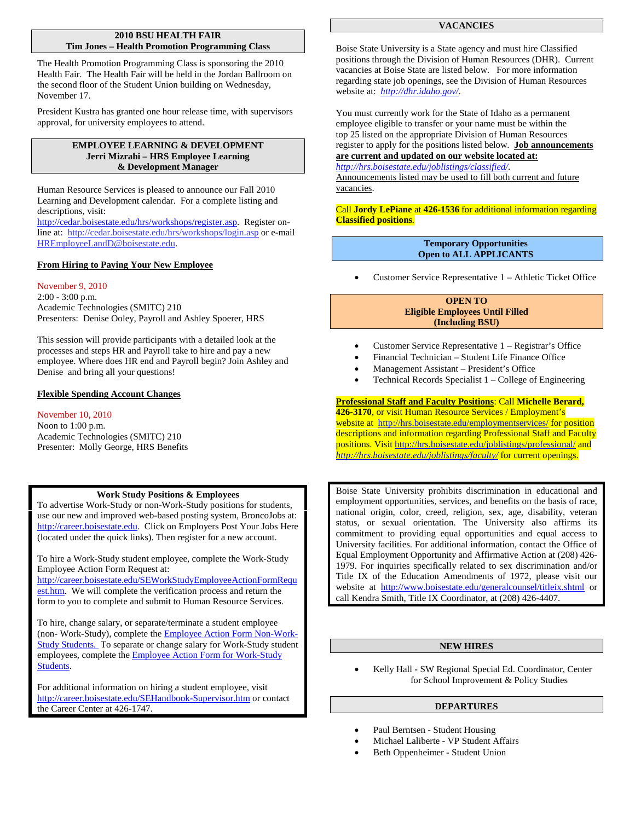## **2010 BSU HEALTH FAIR Tim Jones – Health Promotion Programming Class**

The Health Promotion Programming Class is sponsoring the 2010 Health Fair. The Health Fair will be held in the Jordan Ballroom on the second floor of the Student Union building on Wednesday, November 17.

President Kustra has granted one hour release time, with supervisors approval, for university employees to attend.

## **EMPLOYEE LEARNING & DEVELOPMENT Jerri Mizrahi – HRS Employee Learning & Development Manager**

Human Resource Services is pleased to announce our Fall 2010 Learning and Development calendar. For a complete listing and descriptions, visit:

[http://cedar.boisestate.edu/hrs/workshops/register.asp.](http://cedar.boisestate.edu/hrs/workshops/register.asp) Register online at:<http://cedar.boisestate.edu/hrs/workshops/login.asp> or e-mail [HREmployeeLandD@boisestate.edu.](mailto:HREmployeeLandD@boisestate.edu)

# **From Hiring to Paying Your New Employee**

November 9, 2010 2:00 - 3:00 p.m. Academic Technologies (SMITC) 210 Presenters: Denise Ooley, Payroll and Ashley Spoerer, HRS

This session will provide participants with a detailed look at the processes and steps HR and Payroll take to hire and pay a new employee. Where does HR end and Payroll begin? Join Ashley and Denise and bring all your questions!

## **Flexible Spending Account Changes**

# November 10, 2010

Noon to 1:00 p.m. Academic Technologies (SMITC) 210 Presenter: Molly George, HRS Benefits

## **Work Study Positions & Employees**

To advertise Work-Study or non-Work-Study positions for students, use our new and improved web-based posting system, BroncoJobs at: http://career.boisestate.edu. Click on Employers Post Your Jobs Here (located under the quick links). Then register for a new account.

To hire a Work-Study student employee, complete the Work-Study Employee Action Form Request at:

[http://career.boisestate.edu/SEWorkStudyEmployeeActionFormRequ](http://career.boisestate.edu/SEWorkStudyEmployeeActionFormRequest.htm) [est.htm.](http://career.boisestate.edu/SEWorkStudyEmployeeActionFormRequest.htm) We will complete the verification process and return the form to you to complete and submit to Human Resource Services.

To hire, change salary, or separate/terminate a student employee (non- Work-Study), complete th[e Employee Action Form Non-Work-](http://hrs.boisestate.edu/forms/eafstudents.pdf)[Study Students.](http://hrs.boisestate.edu/forms/eafstudents.pdf) To separate or change salary for Work-Study student employees, complete th[e Employee Action Form for Work-Study](http://hrs.boisestate.edu/forms/eafworkstudy.pdf)  [Students.](http://hrs.boisestate.edu/forms/eafworkstudy.pdf)

For additional information on hiring a student employee, visit <http://career.boisestate.edu/SEHandbook-Supervisor.htm> or contact the Career Center at 426-1747.

## **VACANCIES**

Boise State University is a State agency and must hire Classified positions through the Division of Human Resources (DHR). Current vacancies at Boise State are listed below. For more information regarding state job openings, see the Division of Human Resources website at: *<http://dhr.idaho.gov/>*.

You must currently work for the State of Idaho as a permanent employee eligible to transfer or your name must be within the top 25 listed on the appropriate Division of Human Resources register to apply for the positions listed below. **Job announcements are current and updated on our website located at:** *<http://hrs.boisestate.edu/joblistings/classified/>*.

Announcements listed may be used to fill both current and future vacancies.

Call **Jordy LePiane** at **426-1536** for additional information regarding **Classified positions***.*

## **Temporary Opportunities Open to ALL APPLICANTS**

• Customer Service Representative 1 – Athletic Ticket Office

## **OPEN TO Eligible Employees Until Filled (Including BSU)**

- Customer Service Representative 1 Registrar's Office
- Financial Technician Student Life Finance Office
- Management Assistant President's Office
- Technical Records Specialist 1 College of Engineering

# **Professional Staff and Faculty Positions** : Call **Michelle Berard,**

**426-3170**, or visit Human Resource Services / Employment's website at <http://hrs.boisestate.edu/employmentservices/> for position descriptions and information regarding Professional Staff and Faculty positions. Visit<http://hrs.boisestate.edu/joblistings/professional/> and *<http://hrs.boisestate.edu/joblistings/faculty/>* for current openings.

Boise State University prohibits discrimination in educational and employment opportunities, services, and benefits on the basis of race, national origin, color, creed, religion, sex, age, disability, veteran status, or sexual orientation. The University also affirms its commitment to providing equal opportunities and equal access to University facilities. For additional information, contact the Office of Equal Employment Opportunity and Affirmative Action at (208) 426- 1979. For inquiries specifically related to sex discrimination and/or Title IX of the Education Amendments of 1972, please visit our website at <http://www.boisestate.edu/generalcounsel/titleix.shtml> or call Kendra Smith, Title IX Coordinator, at (208) 426-4407.

# **NEW HIRES**

• Kelly Hall - SW Regional Special Ed. Coordinator, Center for School Improvement & Policy Studies

## **DEPARTURES**

- Paul Berntsen Student Housing
- Michael Laliberte VP Student Affairs
- Beth Oppenheimer Student Union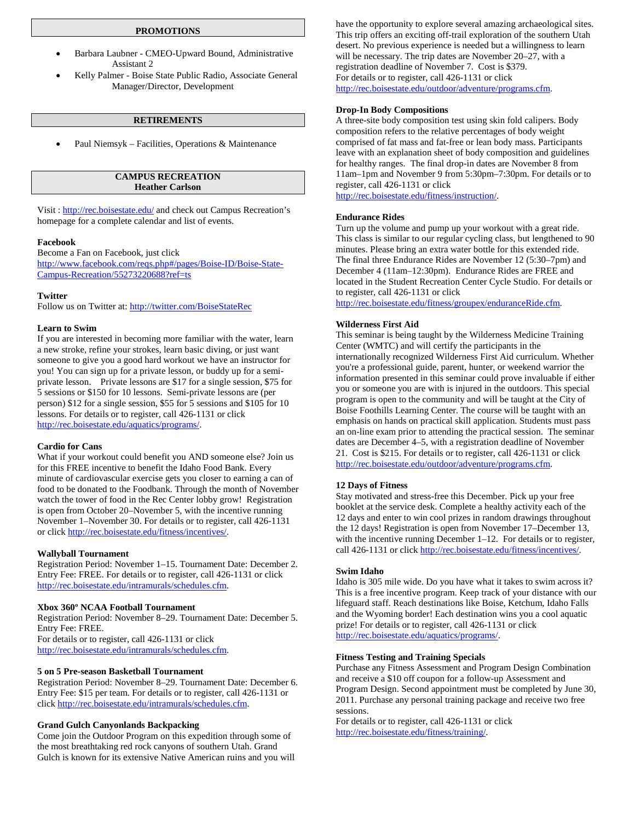## **PROMOTIONS**

- Barbara Laubner CMEO-Upward Bound, Administrative Assistant 2
- Kelly Palmer Boise State Public Radio, Associate General Manager/Director, Development

## **RETIREMENTS**

• Paul Niemsyk – Facilities, Operations & Maintenance

## **CAMPUS RECREATION Heather Carlson**

Visit [: http://rec.boisestate.edu/](http://rec.boisestate.edu/) and check out Campus Recreation's homepage for a complete calendar and list of events.

#### **Facebook**

Become a Fan on Facebook, just click [http://www.facebook.com/reqs.php#/pages/Boise-ID/Boise-State-](http://www.facebook.com/reqs.php#/pages/Boise-ID/Boise-State-Campus-Recreation/55273220688?ref=ts)[Campus-Recreation/55273220688?ref=ts](http://www.facebook.com/reqs.php#/pages/Boise-ID/Boise-State-Campus-Recreation/55273220688?ref=ts)

#### **Twitter**

Follow us on Twitter at:<http://twitter.com/BoiseStateRec>

#### **Learn to Swim**

If you are interested in becoming more familiar with the water, learn a new stroke, refine your strokes, learn basic diving, or just want someone to give you a good hard workout we have an instructor for you! You can sign up for a private lesson, or buddy up for a semiprivate lesson. Private lessons are \$17 for a single session, \$75 for 5 sessions or \$150 for 10 lessons. Semi-private lessons are (per person) \$12 for a single session, \$55 for 5 sessions and \$105 for 10 lessons. For details or to register, call 426-1131 or click [http://rec.boisestate.edu/aquatics/programs/.](http://rec.boisestate.edu/aquatics/programs/) 

#### **Cardio for Cans**

What if your workout could benefit you AND someone else? Join us for this FREE incentive to benefit the Idaho Food Bank. Every minute of cardiovascular exercise gets you closer to earning a can of food to be donated to the Foodbank. Through the month of November watch the tower of food in the Rec Center lobby grow! Registration is open from October 20–November 5, with the incentive running November 1–November 30. For details or to register, call 426-1131 or clic[k http://rec.boisestate.edu/fitness/incentives/.](http://rec.boisestate.edu/fitness/incentives/) 

#### **Wallyball Tournament**

Registration Period: November 1–15. Tournament Date: December 2. Entry Fee: FREE. For details or to register, call 426-1131 or click [http://rec.boisestate.edu/intramurals/schedules.cfm.](http://rec.boisestate.edu/intramurals/schedules.cfm) 

#### **Xbox 360º NCAA Football Tournament**

Registration Period: November 8–29. Tournament Date: December 5. Entry Fee: FREE. For details or to register, call 426-1131 or click [http://rec.boisestate.edu/intramurals/schedules.cfm.](http://rec.boisestate.edu/intramurals/schedules.cfm) 

## **5 on 5 Pre-season Basketball Tournament**

Registration Period: November 8–29. Tournament Date: December 6. Entry Fee: \$15 per team. For details or to register, call 426-1131 or clic[k http://rec.boisestate.edu/intramurals/schedules.cfm.](http://rec.boisestate.edu/intramurals/schedules.cfm) 

## **Grand Gulch Canyonlands Backpacking**

Come join the Outdoor Program on this expedition through some of the most breathtaking red rock canyons of southern Utah. Grand Gulch is known for its extensive Native American ruins and you will

have the opportunity to explore several amazing archaeological sites. This trip offers an exciting off-trail exploration of the southern Utah desert. No previous experience is needed but a willingness to learn will be necessary. The trip dates are November 20–27, with a registration deadline of November 7. Cost is \$379. For details or to register, call 426-1131 or click [http://rec.boisestate.edu/outdoor/adventure/programs.cfm.](http://rec.boisestate.edu/outdoor/adventure/programs.cfm) 

#### **Drop-In Body Compositions**

A three-site body composition test using skin fold calipers. Body composition refers to the relative percentages of body weight comprised of fat mass and fat-free or lean body mass. Participants leave with an explanation sheet of body composition and guidelines for healthy ranges. The final drop-in dates are November 8 from 11am–1pm and November 9 from 5:30pm–7:30pm. For details or to register, call 426-1131 or click

[http://rec.boisestate.edu/fitness/instruction/.](http://rec.boisestate.edu/fitness/instruction/)

#### **Endurance Rides**

Turn up the volume and pump up your workout with a great ride. This class is similar to our regular cycling class, but lengthened to 90 minutes. Please bring an extra water bottle for this extended ride. The final three Endurance Rides are November 12 (5:30–7pm) and December 4 (11am–12:30pm). Endurance Rides are FREE and located in the Student Recreation Center Cycle Studio. For details or to register, call 426-1131 or click

[http://rec.boisestate.edu/fitness/groupex/enduranceRide.cfm.](http://rec.boisestate.edu/fitness/groupex/enduranceRide.cfm)

#### **Wilderness First Aid**

This seminar is being taught by the Wilderness Medicine Training Center (WMTC) and will certify the participants in the internationally recognized Wilderness First Aid curriculum. Whether you're a professional guide, parent, hunter, or weekend warrior the information presented in this seminar could prove invaluable if either you or someone you are with is injured in the outdoors. This special program is open to the community and will be taught at the City of Boise Foothills Learning Center. The course will be taught with an emphasis on hands on practical skill application. Students must pass an on-line exam prior to attending the practical session. The seminar dates are December 4–5, with a registration deadline of November 21. Cost is \$215. For details or to register, call 426-1131 or click [http://rec.boisestate.edu/outdoor/adventure/programs.cfm.](http://rec.boisestate.edu/outdoor/adventure/programs.cfm) 

#### **12 Days of Fitness**

Stay motivated and stress-free this December. Pick up your free booklet at the service desk. Complete a healthy activity each of the 12 days and enter to win cool prizes in random drawings throughout the 12 days! Registration is open from November 17–December 13, with the incentive running December 1–12. For details or to register, call 426-1131 or clic[k http://rec.boisestate.edu/fitness/incentives/.](http://rec.boisestate.edu/fitness/incentives/) 

#### **Swim Idaho**

Idaho is 305 mile wide. Do you have what it takes to swim across it? This is a free incentive program. Keep track of your distance with our lifeguard staff. Reach destinations like Boise, Ketchum, Idaho Falls and the Wyoming border! Each destination wins you a cool aquatic prize! For details or to register, call 426-1131 or click [http://rec.boisestate.edu/aquatics/programs/.](http://rec.boisestate.edu/aquatics/programs/) 

#### **Fitness Testing and Training Specials**

Purchase any Fitness Assessment and Program Design Combination and receive a \$10 off coupon for a follow-up Assessment and Program Design. Second appointment must be completed by June 30, 2011. Purchase any personal training package and receive two free sessions.

For details or to register, call 426-1131 or click [http://rec.boisestate.edu/fitness/training/.](http://rec.boisestate.edu/fitness/training/)